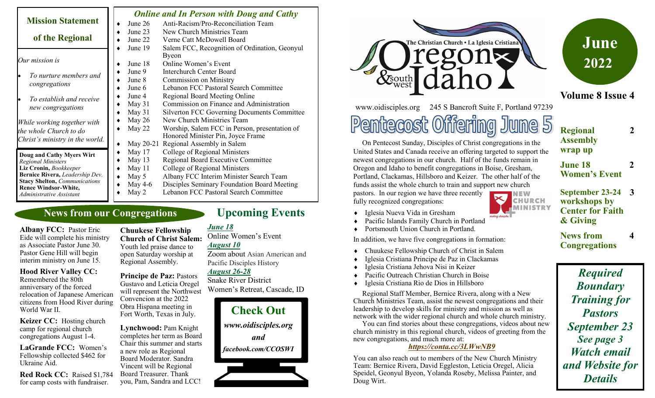|                                                                         |           | <b>Online and In Person with Doug and Cathy</b>    |
|-------------------------------------------------------------------------|-----------|----------------------------------------------------|
| <b>Mission Statement</b>                                                | June $26$ | Anti-Racism/Pro-Reconciliation Team                |
| of the Regional                                                         | June 23   | New Church Ministries Team                         |
|                                                                         | June 22   | Verne Catt McDowell Board                          |
|                                                                         | June 19   | Salem FCC, Recognition of Ordination, Geonyul      |
| Our mission is                                                          |           | Byeon                                              |
|                                                                         | June 18   | Online Women's Event                               |
| To nurture members and<br>congregations                                 | June 9    | Interchurch Center Board                           |
|                                                                         | June 8    | <b>Commission on Ministry</b>                      |
|                                                                         | June 6    | Lebanon FCC Pastoral Search Committee              |
| To establish and receive<br>new congregations                           | June 4    | Regional Board Meeting Online                      |
|                                                                         | May 31    | Commission on Finance and Administration           |
|                                                                         | May 31    | <b>Silverton FCC Governing Documents Committee</b> |
| While working together with                                             | May 26    | New Church Ministries Team                         |
| the whole Church to do                                                  | May 22    | Worship, Salem FCC in Person, presentation of      |
| Christ's ministry in the world.                                         |           | Honored Minister Pin, Joyce Frame                  |
|                                                                         | May 20-21 | Regional Assembly in Salem                         |
| Doug and Cathy Myers Wirt                                               | May 17    | College of Regional Ministers                      |
| <b>Regional Ministers</b>                                               | May 13    | Regional Board Executive Committee                 |
| Liz Cronin, Bookkeeper                                                  | May 11    | College of Regional Ministers                      |
| Bernice Rivera, Leadership Dev.<br><b>Stacy Shelton, Communications</b> | May 5     | Albany FCC Interim Minister Search Team            |
| <b>Renee Windsor-White,</b>                                             | May 4-6   | Disciples Seminary Foundation Board Meeting        |
| Administrative Assistant                                                | May 2     | Lebanon FCC Pastoral Search Committee              |

### **News from our Congregations**

**Albany FCC:** Pastor Eric Eide will complete his ministry as Associate Pastor June 30. Pastor Gene Hill will begin interim ministry on June 15.

**Hood River Valley CC:**  Remembered the 80th anniversary of the forced relocation of Japanese American citizens from Hood River during World War II.

**Keizer CC:** Hosting church camp for regional church congregations August 1-4.

**LaGrande FCC:** Women's Fellowship collected \$462 for Ukraine Aid.

**Red Rock CC:** Raised \$1,784 for camp costs with fundraiser.

**Chuukese Fellowship Church of Christ Salem:**  Youth led praise dance to open Saturday worship at Regional Assembly.

**Principe de Paz:** Pastors Gustavo and Leticia Oregel will represent the Northwest Convencion at the 2022 Obra Hispana meeting in Fort Worth, Texas in July.

**Lynchwood:** Pam Knight completes her term as Board Chair this summer and starts a new role as Regional Board Moderator. Sandra Vincent will be Regional Board Treasurer. Thank you, Pam, Sandra and LCC!

# **Upcoming Events**

*June 18*

Online Women's Event *August 10* Zoom about Asian American and Pacific Disciples History *August 26-28*

# Snake River District

Women's Retreat, Cascade, ID





www.oidisciples.org 245 S Bancroft Suite F, Portland 97239

Pentecost Offering June 5

 On Pentecost Sunday, Disciples of Christ congregations in the United States and Canada receive an offering targeted to support the newest congregations in our church. Half of the funds remain in Oregon and Idaho to benefit congregations in Boise, Gresham, Portland, Clackamas, Hillsboro and Keizer. The other half of the funds assist the whole church to train and support new church pastors. In our region we have three recently

fully recognized congregations:

- **CHURCH MINISTRY**
- Iglesia Nueva Vida in Gresham
- Pacific Islands Family Church in Portland

◆ Portsmouth Union Church in Portland.

In addition, we have five congregations in formation:

- Chuukese Fellowship Church of Christ in Salem
- Iglesia Cristiana Principe de Paz in Clackamas
- Iglesia Cristiana Jehova Nisi in Keizer
- ◆ Pacific Outreach Christian Church in Boise
- Iglesia Cristiana Rio de Dios in Hillsboro

 Regional Staff Member, Bernice Rivera, along with a New Church Ministries Team, assist the newest congregations and their leadership to develop skills for ministry and mission as well as network with the wider regional church and whole church ministry.

 You can find stories about these congregations, videos about new church ministry in this regional church, videos of greeting from the new congregations, and much more at:

#### *<https://conta.cc/3LWwNB9>*

You can also reach out to members of the New Church Ministry Team: Bernice Rivera, David Eggleston, Leticia Oregel, Alicia Speidel, Geonyul Byeon, Yolanda Roseby, Melissa Painter, and Doug Wirt.

**June 2022**

# **Volume 8 Issue 4**

**2**

**2**

**4**

**Regional Assembly wrap up**

**June 18 Women's Event**

**September 23-24 3 workshops by Center for Faith & Giving**

**News from Congregations**

*Required Boundary Training for Pastors September 23 See page 3 Watch email and Website for Details*